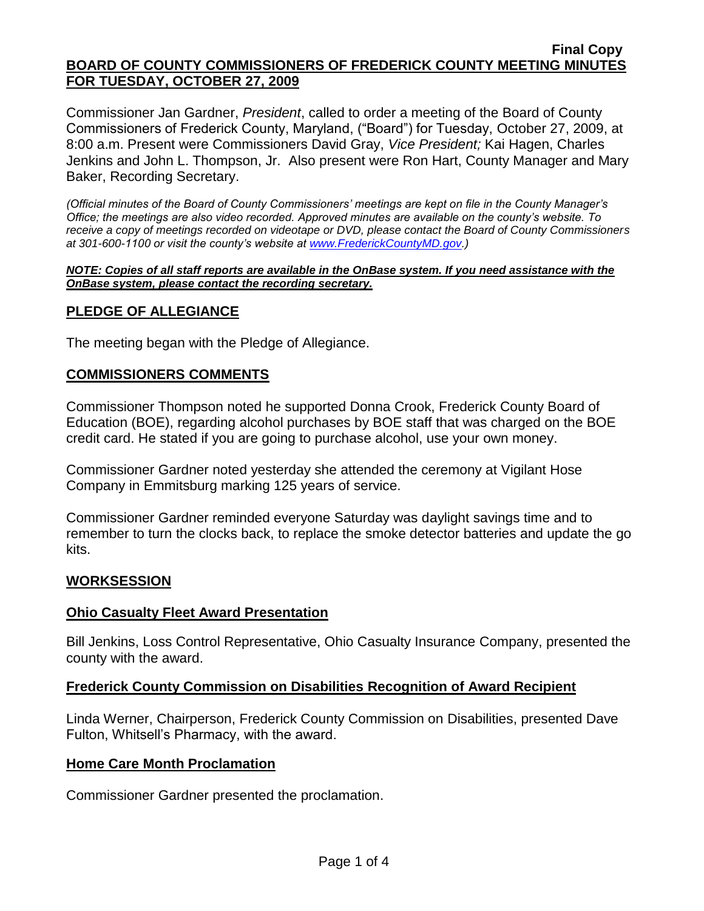Commissioner Jan Gardner, *President*, called to order a meeting of the Board of County Commissioners of Frederick County, Maryland, ("Board") for Tuesday, October 27, 2009, at 8:00 a.m. Present were Commissioners David Gray, *Vice President;* Kai Hagen, Charles Jenkins and John L. Thompson, Jr. Also present were Ron Hart, County Manager and Mary Baker, Recording Secretary.

*(Official minutes of the Board of County Commissioners' meetings are kept on file in the County Manager's Office; the meetings are also video recorded. Approved minutes are available on the county's website. To receive a copy of meetings recorded on videotape or DVD, please contact the Board of County Commissioners at 301-600-1100 or visit the county's website at [www.FrederickCountyMD.gov.](http://www.frederickcountymd.gov/))*

#### *NOTE: Copies of all staff reports are available in the OnBase system. If you need assistance with the OnBase system, please contact the recording secretary.*

### **PLEDGE OF ALLEGIANCE**

The meeting began with the Pledge of Allegiance.

### **COMMISSIONERS COMMENTS**

Commissioner Thompson noted he supported Donna Crook, Frederick County Board of Education (BOE), regarding alcohol purchases by BOE staff that was charged on the BOE credit card. He stated if you are going to purchase alcohol, use your own money.

Commissioner Gardner noted yesterday she attended the ceremony at Vigilant Hose Company in Emmitsburg marking 125 years of service.

Commissioner Gardner reminded everyone Saturday was daylight savings time and to remember to turn the clocks back, to replace the smoke detector batteries and update the go kits.

### **WORKSESSION**

### **Ohio Casualty Fleet Award Presentation**

Bill Jenkins, Loss Control Representative, Ohio Casualty Insurance Company, presented the county with the award.

### **Frederick County Commission on Disabilities Recognition of Award Recipient**

Linda Werner, Chairperson, Frederick County Commission on Disabilities, presented Dave Fulton, Whitsell's Pharmacy, with the award.

#### **Home Care Month Proclamation**

Commissioner Gardner presented the proclamation.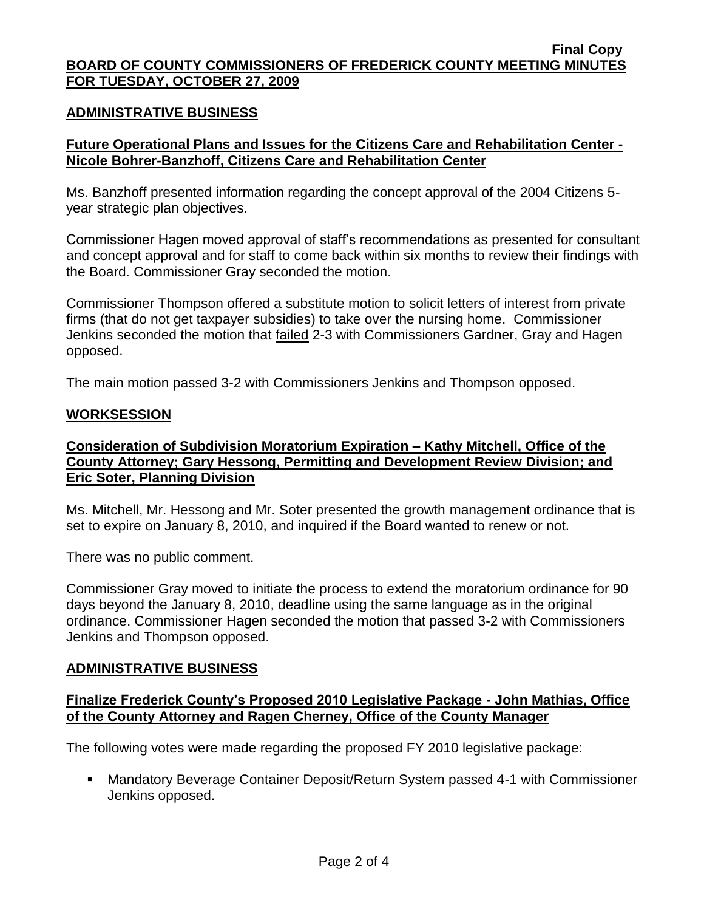#### **ADMINISTRATIVE BUSINESS**

### **Future Operational Plans and Issues for the Citizens Care and Rehabilitation Center - Nicole Bohrer-Banzhoff, Citizens Care and Rehabilitation Center**

Ms. Banzhoff presented information regarding the concept approval of the 2004 Citizens 5 year strategic plan objectives.

Commissioner Hagen moved approval of staff's recommendations as presented for consultant and concept approval and for staff to come back within six months to review their findings with the Board. Commissioner Gray seconded the motion.

Commissioner Thompson offered a substitute motion to solicit letters of interest from private firms (that do not get taxpayer subsidies) to take over the nursing home. Commissioner Jenkins seconded the motion that **failed** 2-3 with Commissioners Gardner, Gray and Hagen opposed.

The main motion passed 3-2 with Commissioners Jenkins and Thompson opposed.

#### **WORKSESSION**

### **Consideration of Subdivision Moratorium Expiration – Kathy Mitchell, Office of the County Attorney; Gary Hessong, Permitting and Development Review Division; and Eric Soter, Planning Division**

Ms. Mitchell, Mr. Hessong and Mr. Soter presented the growth management ordinance that is set to expire on January 8, 2010, and inquired if the Board wanted to renew or not.

There was no public comment.

Commissioner Gray moved to initiate the process to extend the moratorium ordinance for 90 days beyond the January 8, 2010, deadline using the same language as in the original ordinance. Commissioner Hagen seconded the motion that passed 3-2 with Commissioners Jenkins and Thompson opposed.

#### **ADMINISTRATIVE BUSINESS**

### **Finalize Frederick County's Proposed 2010 Legislative Package - John Mathias, Office of the County Attorney and Ragen Cherney, Office of the County Manager**

The following votes were made regarding the proposed FY 2010 legislative package:

■ Mandatory Beverage Container Deposit/Return System passed 4-1 with Commissioner Jenkins opposed.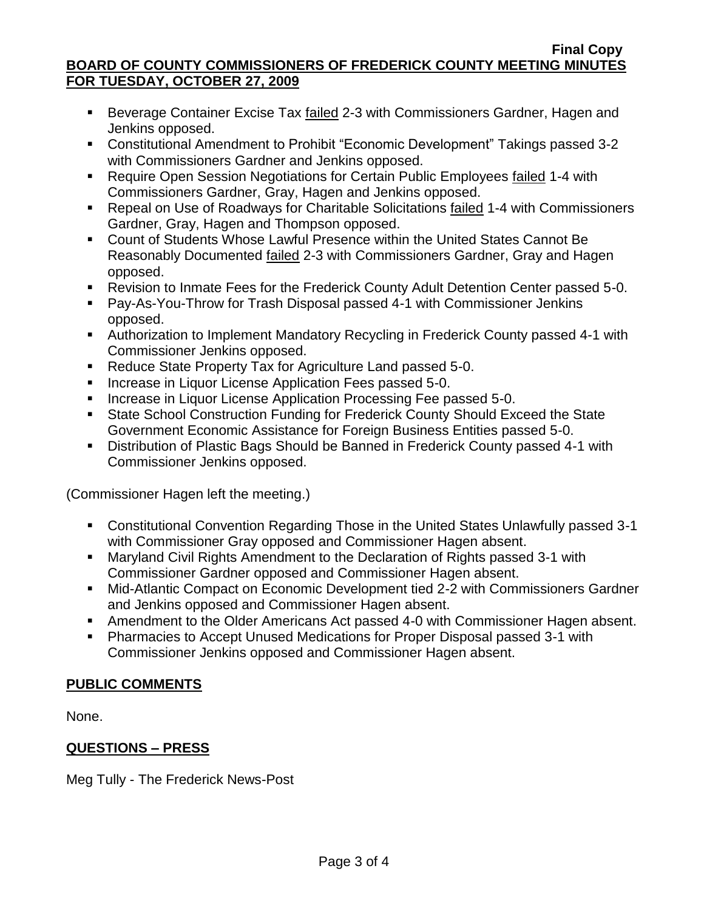- Beverage Container Excise Tax failed 2-3 with Commissioners Gardner, Hagen and Jenkins opposed.
- Constitutional Amendment to Prohibit "Economic Development" Takings passed 3-2 with Commissioners Gardner and Jenkins opposed.
- Require Open Session Negotiations for Certain Public Employees failed 1-4 with Commissioners Gardner, Gray, Hagen and Jenkins opposed.
- Repeal on Use of Roadways for Charitable Solicitations failed 1-4 with Commissioners Gardner, Gray, Hagen and Thompson opposed.
- Count of Students Whose Lawful Presence within the United States Cannot Be Reasonably Documented failed 2-3 with Commissioners Gardner, Gray and Hagen opposed.
- Revision to Inmate Fees for the Frederick County Adult Detention Center passed 5-0.
- Pay-As-You-Throw for Trash Disposal passed 4-1 with Commissioner Jenkins opposed.
- Authorization to Implement Mandatory Recycling in Frederick County passed 4-1 with Commissioner Jenkins opposed.
- Reduce State Property Tax for Agriculture Land passed 5-0.
- **Increase in Liquor License Application Fees passed 5-0.**
- **Increase in Liquor License Application Processing Fee passed 5-0.**
- State School Construction Funding for Frederick County Should Exceed the State Government Economic Assistance for Foreign Business Entities passed 5-0.
- Distribution of Plastic Bags Should be Banned in Frederick County passed 4-1 with Commissioner Jenkins opposed.

(Commissioner Hagen left the meeting.)

- Constitutional Convention Regarding Those in the United States Unlawfully passed 3-1 with Commissioner Gray opposed and Commissioner Hagen absent.
- Maryland Civil Rights Amendment to the Declaration of Rights passed 3-1 with Commissioner Gardner opposed and Commissioner Hagen absent.
- Mid-Atlantic Compact on Economic Development tied 2-2 with Commissioners Gardner and Jenkins opposed and Commissioner Hagen absent.
- Amendment to the Older Americans Act passed 4-0 with Commissioner Hagen absent.
- Pharmacies to Accept Unused Medications for Proper Disposal passed 3-1 with Commissioner Jenkins opposed and Commissioner Hagen absent.

# **PUBLIC COMMENTS**

None.

# **QUESTIONS – PRESS**

Meg Tully - The Frederick News-Post